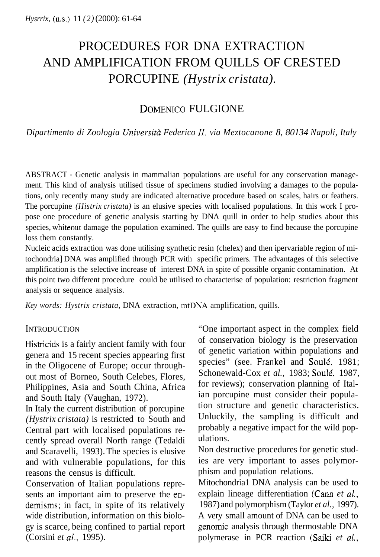# PROCEDURES FOR DNA EXTRACTION AND AMPLIFICATION FROM QUILLS OF CRESTED PORCUPINE *(Hystrix cristata).*

## DOMENICO FULGIONE

*Dipartimento di Zoologia Universith Federico 11, via Meztocanone 8, 80134 Napoli, Italy* 

ABSTRACT - Genetic analysis in mammalian populations are useful for any conservation management. This kind of analysis utilised tissue of specimens studied involving a damages to the populations, only recently many study are indicated alternative procedure based on scales, hairs or feathers. The porcupine *(Histrix cristata)* is an elusive species with localised populations. In this work I propose one procedure of genetic analysis starting by DNA quill in order to help studies about this species, whiteout damage the population examined. The quills are easy to find because the porcupine loss them constantly.

Nucleic acids extraction was done utilising synthetic resin (chelex) and then ipervariable region of mitochondria] DNA was amplified through PCR with specific primers. The advantages of this selective amplification is the selective increase of interest DNA in spite of possible organic contamination. At this point two different procedure could be utilised to characterise of population: restriction fragment analysis or sequence analysis.

*Key words: Hystrix cristata,* DNA extraction, mtDNA amplification, quills.

### **INTRODUCTION**

Histricids is a fairly ancient family with four genera and 15 recent species appearing first in the Oligocene of Europe; occur throughout most of Borneo, South Celebes, Flores, Philippines, Asia and South China, Africa and South Italy (Vaughan, 1972).

In Italy the current distribution of porcupine *(Hystrix cristata)* is restricted to South and Central part with localised populations recently spread overall North range (Tedaldi and Scaravelli, 1993). The species is elusive and with vulnerable populations, for this reasons the census is difficult.

Conservation of Italian populations represents an important aim to preserve the endemisms; in fact, in spite of its relatively wide distribution, information on this biology is scarce, being confined to partial report (Corsini *et al.,* 1995).

"One important aspect in the complex field of conservation biology is the preservation of genetic variation within populations and species" (see. Frankel and Soulé, 1981; Schonewald-Cox *et al.,* 1983; Soule', 1987, for reviews); conservation planning of Italian porcupine must consider their population structure and genetic characteristics. Unluckily, the sampling is difficult and probably a negative impact for the wild populations.

Non destructive procedures for genetic studies are very important to asses polymorphism and population relations.

Mitochondria1 DNA analysis can be used to explain lineage differentiation (Cann *et al.,*  1987) and polymorphism (Taylor *et al.,* 1997). A very small amount of DNA can be used to genomic analysis through thermostable DNA polymerase in PCR reaction (Saiki *et al.,*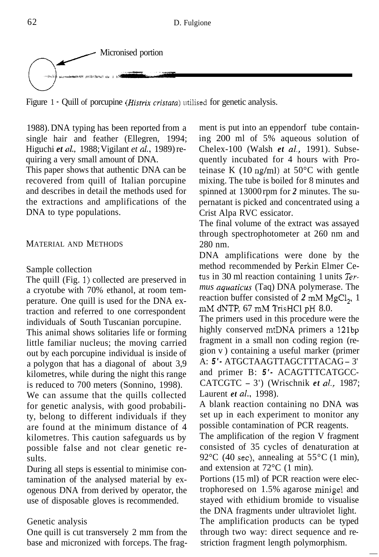

Figure 1 - Quill of porcupine *(Histrix cristata)* utilised for genetic analysis.

1988). DNA typing has been reported from a single hair and feather (Ellegren, 1994; Higuchi *et al.,* 1988; Vigilant *et al.,* 1989) requiring a very small amount of DNA.

This paper shows that authentic DNA can be recovered from quill of Italian porcupine and describes in detail the methods used for the extractions and amplifications of the DNA to type populations.

#### MATERIAL AND METHODS

#### Sample collection

The quill (Fig. 1) collected are preserved in a cryotube with 70% ethanol, at room temperature. One quill is used for the DNA extraction and referred to one correspondent individuals of South Tuscanian porcupine.

This animal shows solitaries life or forming little familiar nucleus; the moving carried out by each porcupine individual is inside of a polygon that has a diagonal of about 3,9 kilometres, while during the night this range is reduced to 700 meters (Sonnino, 1998).

We can assume that the quills collected for genetic analysis, with good probability, belong to different individuals if they are found at the minimum distance of 4 kilometres. This caution safeguards us by possible false and not clear genetic results.

During all steps is essential to minimise contamination of the analysed material by exogenous DNA from derived by operator, the use of disposable gloves is recommended.

#### Genetic analysis

One quill is cut transversely 2 mm from the base and micronized with forceps. The fragment is put into an eppendorf tube containing 200 ml of 5% aqueous solution of Chelex-100 (Walsh *et al.,* 1991). Subsequently incubated for 4 hours with Proteinase K  $(10 \text{ ng/ml})$  at  $50^{\circ}$ C with gentle mixing. The tube is boiled for 8 minutes and spinned at 13000 rpm for *2* minutes. The supernatant is picked and concentrated using a Crist Alpa RVC essicator.

The final volume of the extract was assayed through spectrophotometer at 260 nm and 280 nm.

DNA amplifications were done by the method recommended by Perkin Elmer Cetus in 30 ml reaction containing 1 units *Termus aquaticus* (Taq) DNA polymerase. The reaction buffer consisted of *2* mM MgCl,, 1 mM dNTP, 67 mM TrisHCl pH 8.0.

The primers used in this procedure were the highly conserved mtDNA primers a 121bp fragment in a small non coding region (region v) containing a useful marker (primer A: *5 '-* ATGCTAAGTTAGCTTTACAG - 3' and primer B: *5 ' -* ACAGTTTCATGCC-CATCGTC - 3') (Wrischnik *et al.,* 1987; Laurent *et al.,* 1998).

A blank reaction containing no DNA was set up in each experiment to monitor any possible contamination of PCR reagents.

The amplification of the region V fragment consisted of 35 cycles of denaturation at 92 $\rm{^{\circ}C}$  (40 sec), annealing at 55 $\rm{^{\circ}C}$  (1 min), and extension at 72°C (1 min).

Portions (15 ml) of PCR reaction were electrophoresed on 1.5% agarose minigel and stayed with ethidium bromide to visualise the DNA fragments under ultraviolet light. The amplification products can be typed through two way: direct sequence and restriction fragment length polymorphism.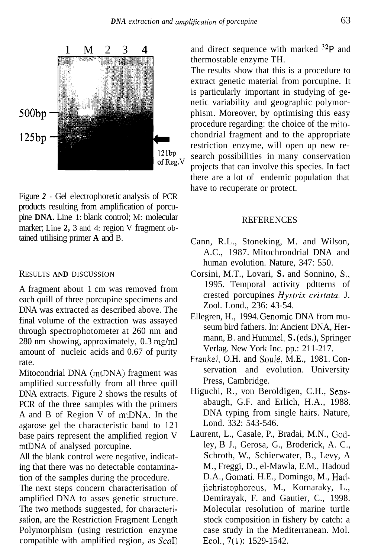

Figure *2* - Gel electrophoretic analysis of PCR products resulting from amplification of porcupine **DNA.** Line 1: blank control; M: molecular marker; Line 2, 3 and 4: region V fragment obtained utilising primer **A** and B.

#### RESULTS **AND** DISCUSSION

A fragment about 1 cm was removed from each quill of three porcupine specimens and DNA was extracted as described above. The final volume of the extraction was assayed through spectrophotometer at 260 nm and 280 nm showing, approximately, 0.3 mg/ml amount of nucleic acids and 0.67 of purity rate.

Mitocondrial DNA (mtDNA) fragment was amplified successfully from all three quill DNA extracts. Figure 2 shows the results of PCR of the three samples with the primers A and B of Region V of mtDNA. In the agarose gel the characteristic band to 121 base pairs represent the amplified region V mtDNA of analysed porcupine.

All the blank control were negative, indicating that there was no detectable contamination of the samples during the procedure.

The next steps concern characterisation of amplified DNA to asses genetic structure. The two methods suggested, for characterisation, are the Restriction Fragment Length Polymorphism (using restriction enzyme compatible with amplified region, as ScaI)

and direct sequence with marked  $32P$  and thermostable enzyme TH.

The results show that this is a procedure to extract genetic material from porcupine. It is particularly important in studying of genetic variability and geographic polymorphism. Moreover, by optimising this easy procedure regarding: the choice of the mitochondrial fragment and to the appropriate restriction enzyme, will open up new research possibilities in many conservation projects that can involve this species. In fact there are a lot of endemic population that have to recuperate or protect.

#### **REFERENCES**

- Cann, R.L., Stoneking, M. and Wilson, A.C., 1987. Mitochrondrial DNA and human evolution. Nature, 347: 550.
- Corsini, M.T., Lovari, **S.** and Sonnino, **S.,**  1995. Temporal activity pdtterns of crested porcupines *Hystrix cristata.* J. Zool. Lond., 236: 43-54.
- Ellegren, H., 1994. Genomic DNA from museum bird fathers. In: Ancient DNA, Hermann, B. and Hummel, S. (eds.), Springer Verlag. New York Inc. pp.: 211-217.
- Frankel, O.H. and Soulé, M.E., 1981. Conservation and evolution. University Press, Cambridge.
- Higuchi, R., von Beroldigen, C.H., Sensabaugh, G.F. and Erlich, H.A., 1988. DNA typing from single hairs. Nature, Lond. 332: 543-546.
- Laurent, L., Casale, P., Bradai, M.N., Godley, B J., Gerosa, G., Broderick, A. C., Schroth, W., Schierwater, B., Levy, A M., Freggi, D., el-Mawla, E.M., Hadoud D.A., Gomati, H.E., Domingo, M., Hadjichristophorous, M., Kornaraky, L., Demirayak, F. and Gautier, C., 1998. Molecular resolution of marine turtle stock composition in fishery by catch: a case study in the Mediterranean. Mol. Ecol., 7(1): 1529-1542.